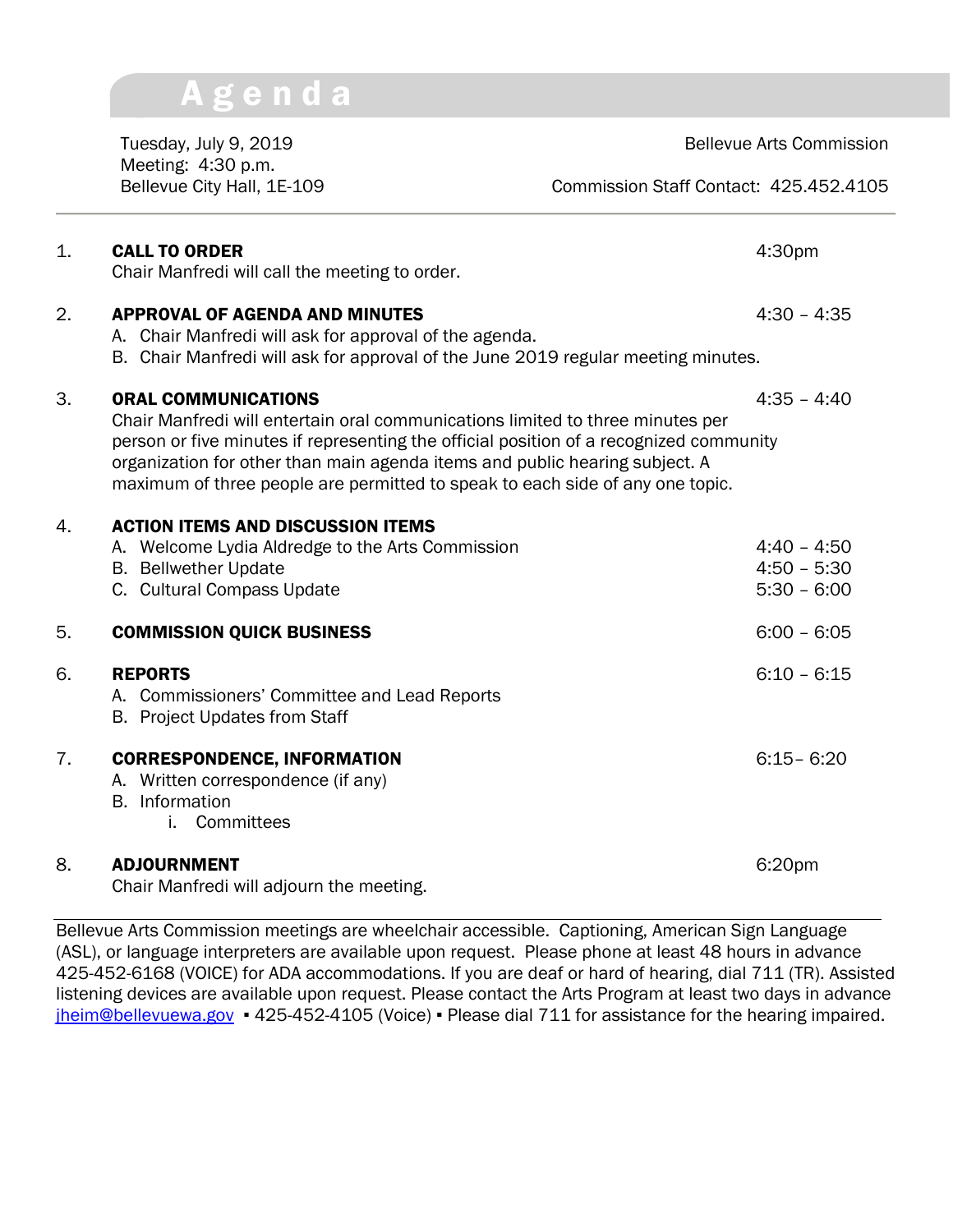## A g e n d a

Tuesday, July 9, 2019 **Bellevue Arts Commission** Meeting: 4:30 p.m.

Bellevue City Hall, 1E-109 Commission Staff Contact: 425.452.4105

| 1.               | <b>CALL TO ORDER</b><br>Chair Manfredi will call the meeting to order.                                                                                                                                                                                                                                                                                                 | 4:30pm                                          |
|------------------|------------------------------------------------------------------------------------------------------------------------------------------------------------------------------------------------------------------------------------------------------------------------------------------------------------------------------------------------------------------------|-------------------------------------------------|
| $\overline{2}$ . | <b>APPROVAL OF AGENDA AND MINUTES</b><br>A. Chair Manfredi will ask for approval of the agenda.<br>B. Chair Manfredi will ask for approval of the June 2019 regular meeting minutes.                                                                                                                                                                                   | $4:30 - 4:35$                                   |
| 3.               | <b>ORAL COMMUNICATIONS</b><br>Chair Manfredi will entertain oral communications limited to three minutes per<br>person or five minutes if representing the official position of a recognized community<br>organization for other than main agenda items and public hearing subject. A<br>maximum of three people are permitted to speak to each side of any one topic. | $4:35 - 4:40$                                   |
| 4.               | <b>ACTION ITEMS AND DISCUSSION ITEMS</b><br>A. Welcome Lydia Aldredge to the Arts Commission<br><b>B.</b> Bellwether Update<br>C. Cultural Compass Update                                                                                                                                                                                                              | $4:40 - 4:50$<br>$4:50 - 5:30$<br>$5:30 - 6:00$ |
| 5.               | <b>COMMISSION QUICK BUSINESS</b>                                                                                                                                                                                                                                                                                                                                       | $6:00 - 6:05$                                   |
| 6.               | <b>REPORTS</b><br>A. Commissioners' Committee and Lead Reports<br>B. Project Updates from Staff                                                                                                                                                                                                                                                                        | $6:10 - 6:15$                                   |
| 7.               | <b>CORRESPONDENCE, INFORMATION</b><br>A. Written correspondence (if any)<br><b>B.</b> Information<br>Committees<br>i.                                                                                                                                                                                                                                                  | $6:15 - 6:20$                                   |
| 8.               | <b>ADJOURNMENT</b><br>Chair Manfredi will adjourn the meeting.                                                                                                                                                                                                                                                                                                         | 6:20pm                                          |

Bellevue Arts Commission meetings are wheelchair accessible. Captioning, American Sign Language (ASL), or language interpreters are available upon request. Please phone at least 48 hours in advance 425-452-6168 (VOICE) for ADA accommodations. If you are deaf or hard of hearing, dial 711 (TR). Assisted listening devices are available upon request. Please contact the Arts Program at least two days in advance [jheim@bellevuewa.gov](mailto:jheim@bellevuewa.gov) • 425-452-4105 (Voice) • Please dial 711 for assistance for the hearing impaired.